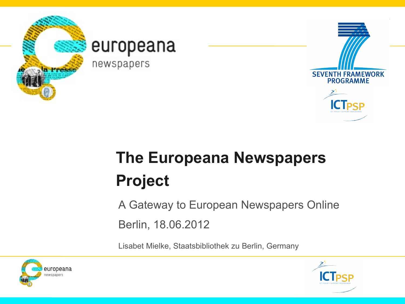

### europeana

newspapers



# **The Europeana Newspapers Project**

A Gateway to European Newspapers Online

Berlin, 18.06.2012

Lisabet Mielke, Staatsbibliothek zu Berlin, Germany



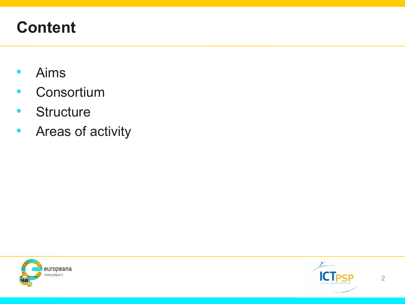### **Content**

- Aims
- Consortium
- Structure
- Areas of activity



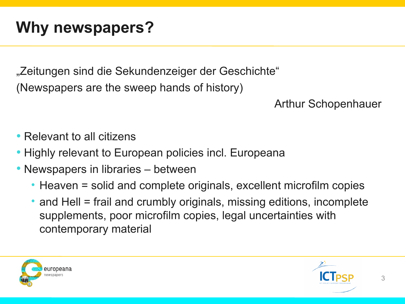## **Why newspapers?**

"Zeitungen sind die Sekundenzeiger der Geschichte" (Newspapers are the sweep hands of history)

#### Arthur Schopenhauer

- Relevant to all citizens
- Highly relevant to European policies incl. Europeana
- Newspapers in libraries between
	- Heaven = solid and complete originals, excellent microfilm copies
	- and Hell = frail and crumbly originals, missing editions, incomplete supplements, poor microfilm copies, legal uncertainties with contemporary material



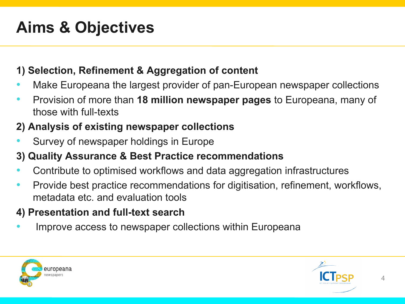## **Aims & Objectives**

#### **1) Selection, Refinement & Aggregation of content**

- Make Europeana the largest provider of pan-European newspaper collections
- Provision of more than **18 million newspaper pages** to Europeana, many of those with full-texts

#### **2) Analysis of existing newspaper collections**

• Survey of newspaper holdings in Europe

#### **3) Quality Assurance & Best Practice recommendations**

- Contribute to optimised workflows and data aggregation infrastructures
- Provide best practice recommendations for digitisation, refinement, workflows, metadata etc. and evaluation tools

#### **4) Presentation and full-text search**

Improve access to newspaper collections within Europeana



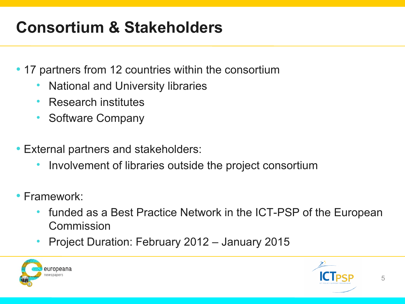## **Consortium & Stakeholders**

- 17 partners from 12 countries within the consortium
	- National and University libraries
	- Research institutes
	- Software Company
- External partners and stakeholders:
	- Involvement of libraries outside the project consortium
- Framework:
	- funded as a Best Practice Network in the ICT-PSP of the European Commission
	- Project Duration: February 2012 January 2015



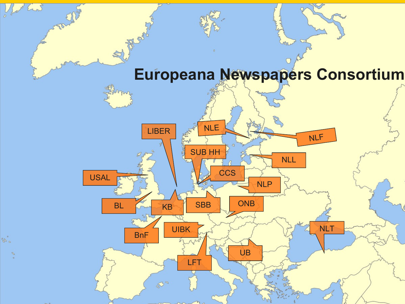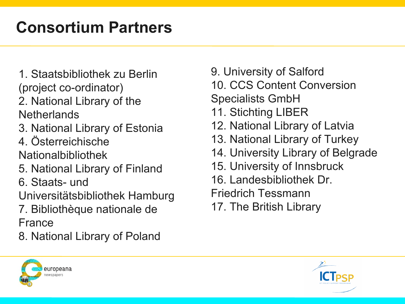### **Consortium Partners**

- 1. Staatsbibliothek zu Berlin (project co-ordinator)
- 2. National Library of the **Netherlands**
- 3. National Library of Estonia
- 4. Österreichische

Nationalbibliothek

- 5. National Library of Finland
- 6. Staats- und

Universitätsbibliothek Hamburg

- 7. Bibliothèque nationale de France
- 8. National Library of Poland
- 9. University of Salford
- 10. CCS Content Conversion
- Specialists GmbH
- 11. Stichting LIBER
- 12. National Library of Latvia
- 13. National Library of Turkey
- 14. University Library of Belgrade
- 15. University of Innsbruck
- 16. Landesbibliothek Dr.
- Friedrich Tessmann
- 17. The British Library



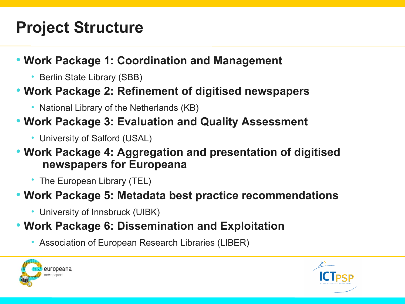### **Project Structure**

### • **Work Package 1: Coordination and Management**

• Berlin State Library (SBB)

### • **Work Package 2: Refinement of digitised newspapers**

• National Library of the Netherlands (KB)

### • **Work Package 3: Evaluation and Quality Assessment**

• University of Salford (USAL)

### • **Work Package 4: Aggregation and presentation of digitised newspapers for Europeana**

• The European Library (TEL)

### • **Work Package 5: Metadata best practice recommendations**

• University of Innsbruck (UIBK)

### • **Work Package 6: Dissemination and Exploitation**

• Association of European Research Libraries (LIBER)



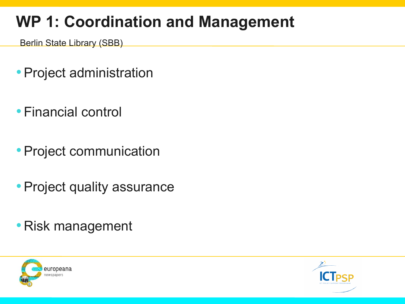### **WP 1: Coordination and Management**

Berlin State Library (SBB)

- •Project administration
- Financial control
- •Project communication
- Project quality assurance
- Risk management



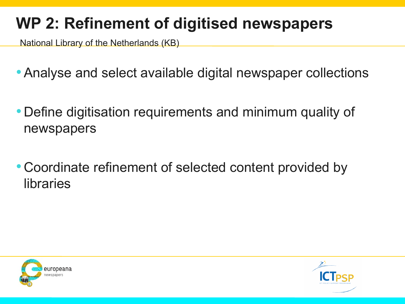### **WP 2: Refinement of digitised newspapers**

National Library of the Netherlands (KB)

- •Analyse and select available digital newspaper collections
- Define digitisation requirements and minimum quality of newspapers
- Coordinate refinement of selected content provided by libraries



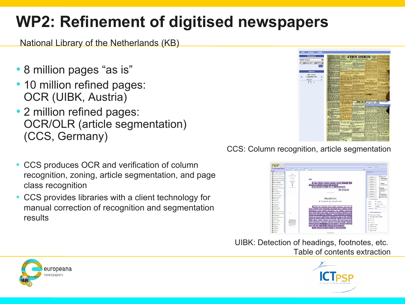### **WP2: Refinement of digitised newspapers**

National Library of the Netherlands (KB)

- 8 million pages "as is"
- 10 million refined pages: OCR (UIBK, Austria)
- 2 million refined pages: OCR/OLR (article segmentation) (CCS, Germany)
- CCS produces OCR and verification of column recognition, zoning, article segmentation, and page class recognition
- CCS provides libraries with a client technology for manual correction of recognition and segmentation results



CCS: Column recognition, article segmentation



UIBK: Detection of headings, footnotes, etc. Table of contents extraction



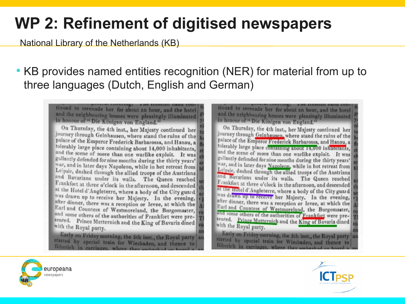### **WP 2: Refinement of digitised newspapers**

National Library of the Netherlands (KB)

### • KB provides named entities recognition (NER) for material from up to three languages (Dutch, English and German)

tinued to serenade her for about an hour, and the hotel and the neighbouring houses were pleasingly illuminated in honour of " Die Königen von England."

On Thursday, the 4th inst., her Majesty continued her journey through Gelnhausen, where stand the ruins of the palace of the Emperor Frederick Barbarossa, and Hanau, a tolerably large place containing about 14,000 inhabitants, and the scene of more than one warlike exploit. It was gallantly defended for nine months during the thirty years' war, and in later days Napoleon, while in hot retreat from Leipsic, dashed through the allied troops of the Austrians and Bavarians under its walls. The Queen reached Frankfort at three o'clock in the afternoon, and descended at the Hotel d'Angleterre, where a body of the City guard was drawn up to receive her Majesty. In the evening, after dinner, there was a reception or levee, at which the Earl and Countess of Westmoreland, the Burgomaster, and some others of the authorities of Frankfort were presented. Prince Metternich and the King of Bavaria dined with the Royal party.

Early on Friday morning, the 5th inst., the Royal party started by special train for Wiesbaden, and thence to Biberich in carriages, where they amba

tinued to serenade her for about an hour, and the hotel and the neighbouring houses were pleasingly illuminated in honour of " Die Königen von England."

On Thursday, the 4th inst., her Majesty continued her journey through Gelnhausen, where stand the ruins of the palace of the Emperor Frederick Barbarossa, and Hanau, a tolerably large place containing about 14,000 inhabitants, and the scene of more than one warlike exploit. It was gallantly defended for nine months during the thirty years' war, and in later days Napoleon, while in hot retreat from Leipsic, dashed through the allied troops of the Austrians and Bavarians under its walls. The Queen reached Frankfort at three o'clock in the afternoon, and descended at the Hotel d'Angleterre, where a body of the City guard was drawn up to receive her Majesty. In the evening, after dinner, there was a reception or levee, at which the Earl and Countess of Westmoreland, the Burgomaster, and some others of the authorities of Frankfort were presented. Prince Metternich and the King of Bavaria dined with the Royal party.

Early on Friday morning, the 5th inst., the Royal party an started by special train for Wiesbaden, and thence to Biberich in carriages, where they embarked of



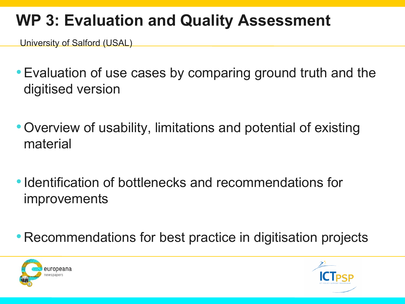### **WP 3: Evaluation and Quality Assessment**

University of Salford (USAL)

- •Evaluation of use cases by comparing ground truth and the digitised version
- •Overview of usability, limitations and potential of existing material
- Identification of bottlenecks and recommendations for improvements
- Recommendations for best practice in digitisation projects



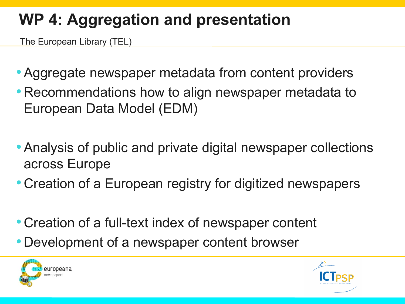## **WP 4: Aggregation and presentation**

The European Library (TEL)

- •Aggregate newspaper metadata from content providers
- Recommendations how to align newspaper metadata to European Data Model (EDM)
- •Analysis of public and private digital newspaper collections across Europe
- Creation of a European registry for digitized newspapers
- Creation of a full-text index of newspaper content
- Development of a newspaper content browser



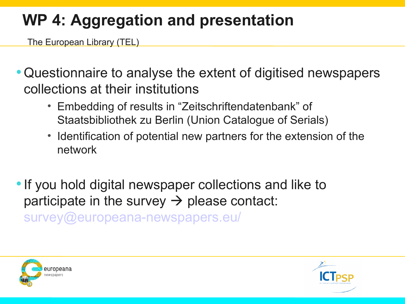## **WP 4: Aggregation and presentation**

The European Library (TEL)

- •Questionnaire to analyse the extent of digitised newspapers collections at their institutions
	- Embedding of results in "Zeitschriftendatenbank" of Staatsbibliothek zu Berlin (Union Catalogue of Serials)
	- Identification of potential new partners for the extension of the network
- If you hold digital newspaper collections and like to participate in the survey  $\rightarrow$  please contact: [survey@europeana-newspapers.eu/](mailto:survey@europeana-newspapers.eu/)



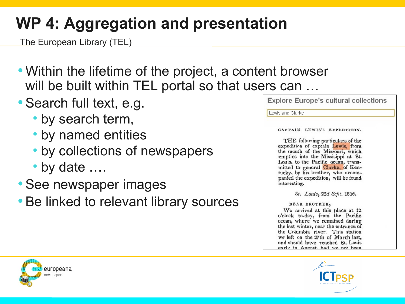## **WP 4: Aggregation and presentation**

The European Library (TEL)

- Within the lifetime of the project, a content browser will be built within TEL portal so that users can ...
- Search full text, e.g.
	- by search term,
	- by named entities
	- by collections of newspapers
	- by date ….
- •See newspaper images
- Be linked to relevant library sources

**Explore Europe's cultural collections** 

Lewis and Clarkel

CAPTAIN LEWIS'S EXPEDITION.

THE following particulars of the expedition of captain Lewis, from the mouth of the Missouri, which empties into the Missisippi at St. Louis, to the Pacific ocean, transmitted to general Clarke, of Kentucky, by his brother, who accompanied the expedition, will be found interesting.

St. Louis, 23d Seft. 1806.

DEAR BROTHER,

We arrived at this place at 12 o'clock to-day, from the Pacific ocean, where we remained during the last winter, near the entrance of the Columbia river. This station we left on the 27th of March last, and should have reached St. Louis early in Angust, had we not been



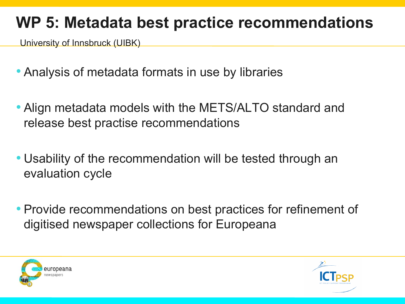### **WP 5: Metadata best practice recommendations**

University of Innsbruck (UIBK)

- Analysis of metadata formats in use by libraries
- Align metadata models with the METS/ALTO standard and release best practise recommendations
- Usability of the recommendation will be tested through an evaluation cycle
- Provide recommendations on best practices for refinement of digitised newspaper collections for Europeana



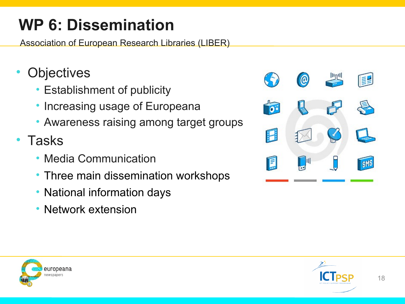## **WP 6: Dissemination**

Association of European Research Libraries (LIBER)

- **Objectives** 
	- Establishment of publicity
	- Increasing usage of Europeana
	- Awareness raising among target groups
- Tasks
	- Media Communication
	- Three main dissemination workshops
	- National information days
	- Network extension